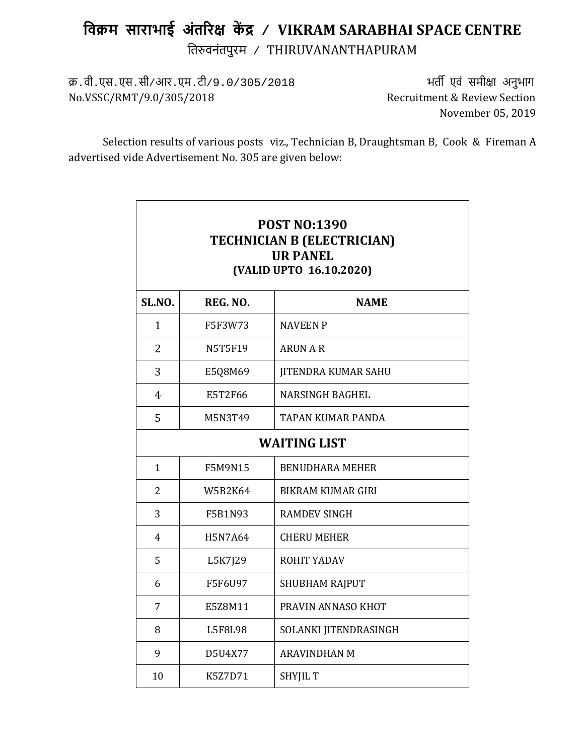# **िवक्रम साराभाई अंत�र� क� द्र / VIKRAM SARABHAI SPACE CENTRE** ित�वनंतपुरम / THIRUVANANTHAPURAM

क्र.वी.एस.एस.सी/आर.एम.टी/9.0/305/2018 भत� एवं समी�ा अनुभाग No.VSSC/RMT/9.0/305/2018

November 05, 2019

Selection results of various posts viz., Technician B, Draughtsman B, Cook & Fireman A advertised vide Advertisement No. 305 are given below:

| <b>POST NO:1390</b><br><b>TECHNICIAN B (ELECTRICIAN)</b><br><b>UR PANEL</b><br>(VALID UPTO 16.10.2020) |                |                            |  |
|--------------------------------------------------------------------------------------------------------|----------------|----------------------------|--|
| SL.NO.<br>REG. NO.<br><b>NAME</b>                                                                      |                |                            |  |
| $\mathbf{1}$                                                                                           | F5F3W73        | <b>NAVEEN P</b>            |  |
| 2                                                                                                      | <b>N5T5F19</b> | <b>ARUN A R</b>            |  |
| 3                                                                                                      | E5Q8M69        | <b>JITENDRA KUMAR SAHU</b> |  |
| $\overline{4}$                                                                                         | E5T2F66        | <b>NARSINGH BAGHEL</b>     |  |
| 5                                                                                                      | M5N3T49        | TAPAN KUMAR PANDA          |  |
|                                                                                                        |                | <b>WAITING LIST</b>        |  |
| $\mathbf{1}$                                                                                           | F5M9N15        | <b>BENUDHARA MEHER</b>     |  |
| $\overline{2}$                                                                                         | <b>W5B2K64</b> | <b>BIKRAM KUMAR GIRI</b>   |  |
| 3                                                                                                      | F5B1N93        | <b>RAMDEV SINGH</b>        |  |
| $\overline{4}$                                                                                         | <b>H5N7A64</b> | <b>CHERU MEHER</b>         |  |
| 5                                                                                                      | L5K7J29        | ROHIT YADAV                |  |
| 6                                                                                                      | F5F6U97        | SHUBHAM RAJPUT             |  |
| $\overline{7}$                                                                                         | E5Z8M11        | PRAVIN ANNASO KHOT         |  |
| 8                                                                                                      | <b>L5F8L98</b> | SOLANKI JITENDRASINGH      |  |
| 9                                                                                                      | D5U4X77        | <b>ARAVINDHAN M</b>        |  |
| 10                                                                                                     | K5Z7D71        | <b>SHYJIL T</b>            |  |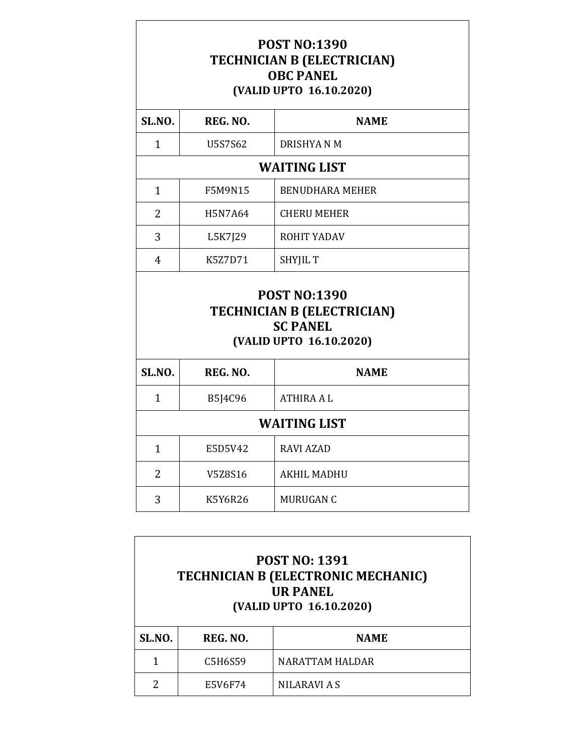### **POST NO:1390 TECHNICIAN B (ELECTRICIAN) OBC PANEL (VALID UPTO 16.10.2020)**

| <b>SL.NO.</b>  | REG. NO.       | <b>NAME</b>                                                                     |
|----------------|----------------|---------------------------------------------------------------------------------|
| $\mathbf{1}$   | U5S7S62        | <b>DRISHYANM</b>                                                                |
|                |                | <b>WAITING LIST</b>                                                             |
| $\mathbf{1}$   | <b>F5M9N15</b> | <b>BENUDHARA MEHER</b>                                                          |
| 2              | H5N7A64        | <b>CHERU MEHER</b>                                                              |
| 3              | L5K7J29        | ROHIT YADAV                                                                     |
| $\overline{4}$ | K5Z7D71        | <b>SHYJIL T</b>                                                                 |
|                |                | <b>POST NO:1390</b>                                                             |
|                |                | <b>TECHNICIAN B (ELECTRICIAN)</b><br><b>SC PANEL</b><br>(VALID UPTO 16.10.2020) |
| SL.NO.         | REG. NO.       | <b>NAME</b>                                                                     |
| $\mathbf{1}$   | B5J4C96        | <b>ATHIRA AL</b>                                                                |
|                |                | <b>WAITING LIST</b>                                                             |
| $\mathbf{1}$   | E5D5V42        | <b>RAVI AZAD</b>                                                                |
| 2              | V5Z8S16        | <b>AKHIL MADHU</b>                                                              |

| <b>POST NO: 1391</b><br><b>TECHNICIAN B (ELECTRONIC MECHANIC)</b><br><b>UR PANEL</b><br>(VALID UPTO 16.10.2020) |          |                     |
|-----------------------------------------------------------------------------------------------------------------|----------|---------------------|
| SL.NO.                                                                                                          | REG. NO. | <b>NAME</b>         |
|                                                                                                                 | C5H6S59  | NARATTAM HALDAR     |
| 2                                                                                                               | E5V6F74  | <b>NILARAVI A S</b> |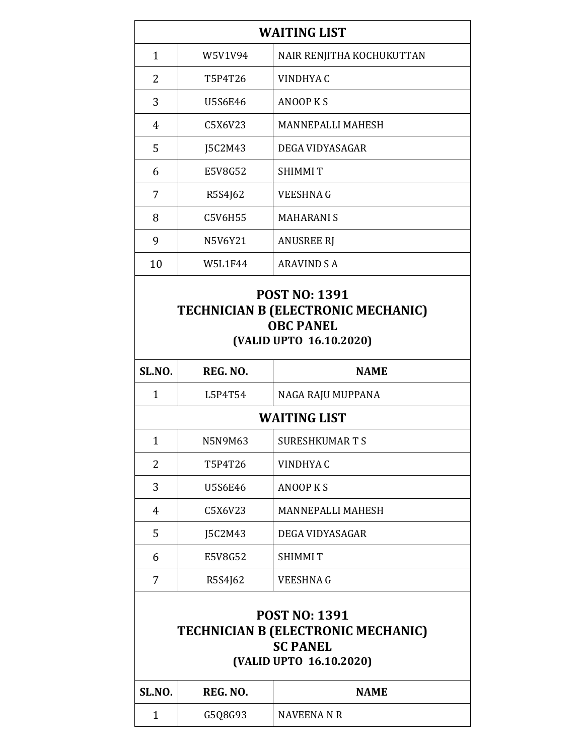| <b>WAITING LIST</b> |                                                                                                                 |                                                                                          |  |
|---------------------|-----------------------------------------------------------------------------------------------------------------|------------------------------------------------------------------------------------------|--|
| $\mathbf{1}$        | W5V1V94                                                                                                         | NAIR RENJITHA KOCHUKUTTAN                                                                |  |
| $\overline{2}$      | T5P4T26                                                                                                         | VINDHYA C                                                                                |  |
| 3                   | <b>U5S6E46</b>                                                                                                  | <b>ANOOP KS</b>                                                                          |  |
| $\overline{4}$      | C5X6V23                                                                                                         | MANNEPALLI MAHESH                                                                        |  |
| 5                   | J5C2M43                                                                                                         | DEGA VIDYASAGAR                                                                          |  |
| 6                   | E5V8G52                                                                                                         | <b>SHIMMIT</b>                                                                           |  |
| 7                   | R5S4J62                                                                                                         | <b>VEESHNAG</b>                                                                          |  |
| 8                   | C5V6H55                                                                                                         | <b>MAHARANIS</b>                                                                         |  |
| 9                   | N5V6Y21                                                                                                         | <b>ANUSREE RJ</b>                                                                        |  |
| 10                  | <b>W5L1F44</b>                                                                                                  | <b>ARAVIND S A</b>                                                                       |  |
|                     |                                                                                                                 | <b>TECHNICIAN B (ELECTRONIC MECHANIC)</b><br><b>OBC PANEL</b><br>(VALID UPTO 16.10.2020) |  |
| SL.NO.              | REG. NO.                                                                                                        | <b>NAME</b>                                                                              |  |
| $\mathbf{1}$        | L5P4T54                                                                                                         | NAGA RAJU MUPPANA                                                                        |  |
|                     |                                                                                                                 | <b>WAITING LIST</b>                                                                      |  |
| $\mathbf{1}$        | N5N9M63                                                                                                         | SURESHKUMAR T S                                                                          |  |
| 2                   | T5P4T26                                                                                                         | VINDHYA C                                                                                |  |
| 3                   | <b>U5S6E46</b>                                                                                                  | <b>ANOOP KS</b>                                                                          |  |
| 4                   | C5X6V23                                                                                                         | <b>MANNEPALLI MAHESH</b>                                                                 |  |
| 5                   | J5C2M43                                                                                                         | DEGA VIDYASAGAR                                                                          |  |
| 6                   | E5V8G52                                                                                                         | <b>SHIMMIT</b>                                                                           |  |
| 7                   | R5S4J62                                                                                                         | VEESHNA G                                                                                |  |
|                     | <b>POST NO: 1391</b><br><b>TECHNICIAN B (ELECTRONIC MECHANIC)</b><br><b>SC PANEL</b><br>(VALID UPTO 16.10.2020) |                                                                                          |  |
| SL.NO.              | REG. NO.                                                                                                        | <b>NAME</b>                                                                              |  |
| $\mathbf{1}$        | G5Q8G93                                                                                                         | <b>NAVEENA N R</b>                                                                       |  |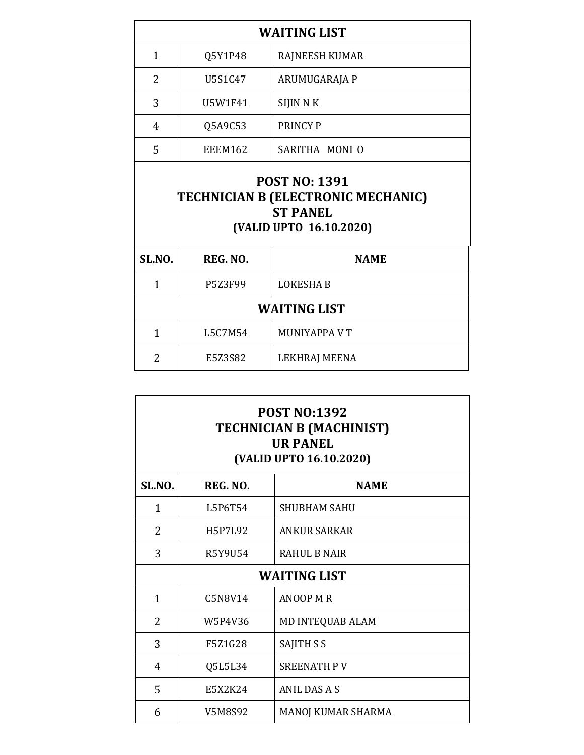| U5S1C47<br>ARUMUGARAJA P<br>SIJIN N K<br>U5W1F41<br>Q5A9C53<br><b>PRINCY P</b><br>SARITHA MONI O<br><b>EEEM162</b><br><b>POST NO: 1391</b><br><b>TECHNICIAN B (ELECTRONIC MECHANIC)</b><br><b>ST PANEL</b> | 1             | Q5Y1P48 | <b>RAJNEESH KUMAR</b> |
|------------------------------------------------------------------------------------------------------------------------------------------------------------------------------------------------------------|---------------|---------|-----------------------|
|                                                                                                                                                                                                            | $\mathcal{P}$ |         |                       |
|                                                                                                                                                                                                            | 3             |         |                       |
|                                                                                                                                                                                                            | 4             |         |                       |
|                                                                                                                                                                                                            | 5             |         |                       |
| (VALID UPTO 16.10.2020)                                                                                                                                                                                    |               |         |                       |

| SL.NO.              | REG. NO. | <b>NAME</b>      |
|---------------------|----------|------------------|
| 1                   | P5Z3F99  | <b>LOKESHA B</b> |
| <b>WAITING LIST</b> |          |                  |
| 1                   | L5C7M54  | MUNIYAPPA V T    |
| 2                   | E5Z3S82  | LEKHRAJ MEENA    |

| <b>POST NO:1392</b><br><b>TECHNICIAN B (MACHINIST)</b><br><b>UR PANEL</b><br>(VALID UPTO 16.10.2020) |          |                     |
|------------------------------------------------------------------------------------------------------|----------|---------------------|
| <b>SL.NO.</b>                                                                                        | REG. NO. | <b>NAME</b>         |
| 1                                                                                                    | L5P6T54  | SHUBHAM SAHU        |
| 2                                                                                                    | H5P7L92  | <b>ANKUR SARKAR</b> |
| 3                                                                                                    | R5Y9U54  | RAHUL B NAIR        |
|                                                                                                      |          | <b>WAITING LIST</b> |
| 1                                                                                                    | C5N8V14  | <b>ANOOP M R</b>    |
| 2                                                                                                    | W5P4V36  | MD INTEQUAB ALAM    |
| 3                                                                                                    | F5Z1G28  | SAJITH S S          |
| $\overline{4}$                                                                                       | Q5L5L34  | <b>SREENATH PV</b>  |
| 5                                                                                                    | E5X2K24  | <b>ANIL DAS A S</b> |
| 6                                                                                                    | V5M8S92  | MANOJ KUMAR SHARMA  |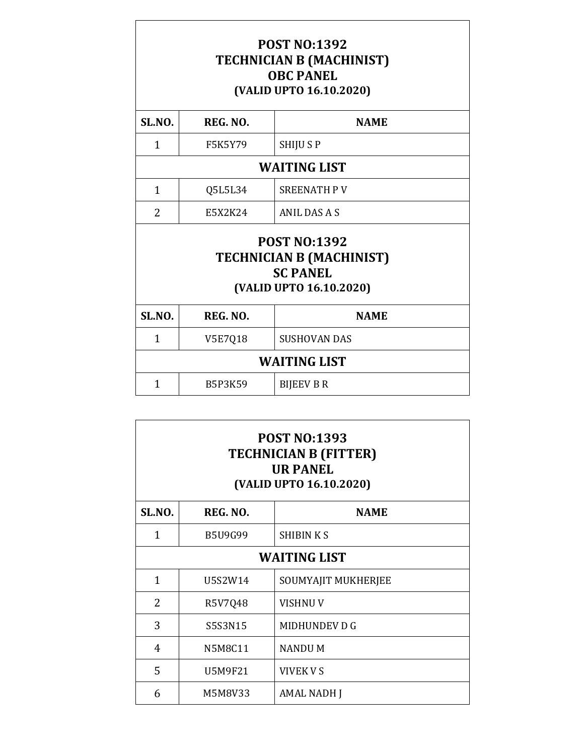### **POST NO:1392 TECHNICIAN B (MACHINIST) OBC PANEL (VALID UPTO 16.10.2020)**

| SL.NO. | REG. NO.       | <b>NAME</b>                                                                                          |  |
|--------|----------------|------------------------------------------------------------------------------------------------------|--|
| 1      | <b>F5K5Y79</b> | <b>SHIJUSP</b>                                                                                       |  |
|        |                | <b>WAITING LIST</b>                                                                                  |  |
| 1      | Q5L5L34        | <b>SREENATH PV</b>                                                                                   |  |
| 2      | E5X2K24        | ANIL DAS A S                                                                                         |  |
|        |                | <b>POST NO:1392</b><br><b>TECHNICIAN B (MACHINIST)</b><br><b>SC PANEL</b><br>(VALID UPTO 16.10.2020) |  |
| SL.NO. | REG. NO.       | <b>NAME</b>                                                                                          |  |
| 1      | V5E7Q18        | <b>SUSHOVAN DAS</b>                                                                                  |  |
|        |                | <b>WAITING LIST</b>                                                                                  |  |
| 1      | <b>B5P3K59</b> | <b>BIJEEV B R</b>                                                                                    |  |
|        |                |                                                                                                      |  |

| <b>POST NO:1393</b><br><b>TECHNICIAN B (FITTER)</b><br><b>UR PANEL</b><br>(VALID UPTO 16.10.2020) |                |                     |  |
|---------------------------------------------------------------------------------------------------|----------------|---------------------|--|
| SL.NO.                                                                                            | REG. NO.       | <b>NAME</b>         |  |
| 1                                                                                                 | <b>B5U9G99</b> | <b>SHIBINKS</b>     |  |
| <b>WAITING LIST</b>                                                                               |                |                     |  |
| 1                                                                                                 | U5S2W14        | SOUMYAJIT MUKHERJEE |  |
| 2                                                                                                 | R5V7Q48        | <b>VISHNUV</b>      |  |
| 3                                                                                                 | S5S3N15        | MIDHUNDEV D G       |  |
| 4                                                                                                 | N5M8C11        | <b>NANDUM</b>       |  |
| 5                                                                                                 | U5M9F21        | VIVEK V S           |  |
| 6                                                                                                 | M5M8V33        | AMAL NADH J         |  |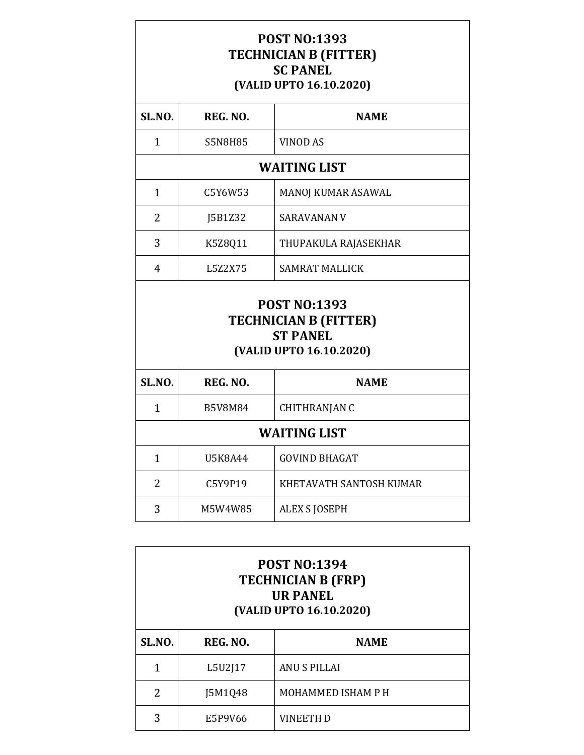#### **POST NO:1393 TECHNICIAN B (FITTER) SC PANEL (VALID UPTO 16.10.2020)**

| <b>SL.NO.</b>                                                                                     | REG. NO.       | <b>NAME</b>             |  |
|---------------------------------------------------------------------------------------------------|----------------|-------------------------|--|
| 1                                                                                                 | <b>S5N8H85</b> | <b>VINOD AS</b>         |  |
|                                                                                                   |                | <b>WAITING LIST</b>     |  |
| $\mathbf{1}$                                                                                      | C5Y6W53        | MANOJ KUMAR ASAWAL      |  |
| $\overline{2}$                                                                                    | J5B1Z32        | <b>SARAVANAN V</b>      |  |
| 3                                                                                                 | K5Z8Q11        | THUPAKULA RAJASEKHAR    |  |
| 4                                                                                                 | L5Z2X75        | <b>SAMRAT MALLICK</b>   |  |
| <b>POST NO:1393</b><br><b>TECHNICIAN B (FITTER)</b><br><b>ST PANEL</b><br>(VALID UPTO 16.10.2020) |                |                         |  |
| SL.NO.                                                                                            | REG. NO.       | <b>NAME</b>             |  |
| $\mathbf{1}$                                                                                      | <b>B5V8M84</b> | CHITHRANJAN C           |  |
| <b>WAITING LIST</b>                                                                               |                |                         |  |
| $\mathbf{1}$                                                                                      | U5K8A44        | <b>GOVIND BHAGAT</b>    |  |
| $\overline{2}$                                                                                    | C5Y9P19        | KHETAVATH SANTOSH KUMAR |  |
| 3                                                                                                 | M5W4W85        | <b>ALEX S JOSEPH</b>    |  |

| <b>POST NO:1394</b><br><b>TECHNICIAN B (FRP)</b><br><b>UR PANEL</b><br>(VALID UPTO 16.10.2020) |          |                     |
|------------------------------------------------------------------------------------------------|----------|---------------------|
| SL.NO.                                                                                         | REG. NO. | <b>NAME</b>         |
| 1                                                                                              | L5U2J17  | <b>ANU S PILLAI</b> |
| 2                                                                                              | J5M1Q48  | MOHAMMED ISHAM P H  |
| 3                                                                                              | E5P9V66  | <b>VINEETH D</b>    |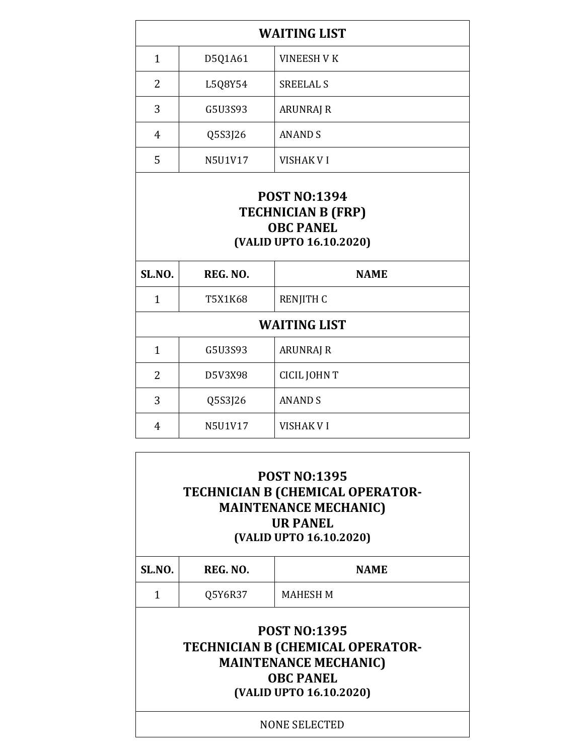| <b>WAITING LIST</b>                                                      |          |                    |  |
|--------------------------------------------------------------------------|----------|--------------------|--|
| $\mathbf{1}$                                                             | D5Q1A61  | <b>VINEESH V K</b> |  |
| $\overline{2}$                                                           | L5Q8Y54  | <b>SREELAL S</b>   |  |
| 3                                                                        | G5U3S93  | <b>ARUNRAJ R</b>   |  |
| $\overline{4}$                                                           | Q5S3J26  | <b>ANAND S</b>     |  |
| 5                                                                        | N5U1V17  | <b>VISHAK VI</b>   |  |
| <b>TECHNICIAN B (FRP)</b><br><b>OBC PANEL</b><br>(VALID UPTO 16.10.2020) |          |                    |  |
| SL.NO.                                                                   | REG. NO. | <b>NAME</b>        |  |
| $\mathbf{1}$                                                             | T5X1K68  | <b>RENJITH C</b>   |  |
| <b>WAITING LIST</b>                                                      |          |                    |  |
| $\mathbf{1}$                                                             | G5U3S93  | <b>ARUNRAJ R</b>   |  |
| $\overline{2}$                                                           | D5V3X98  | CICIL JOHN T       |  |
| 3                                                                        | Q5S3J26  | <b>ANAND S</b>     |  |
| $\overline{4}$                                                           | N5U1V17  | <b>VISHAK VI</b>   |  |

| <b>POST NO:1395</b><br><b>TECHNICIAN B (CHEMICAL OPERATOR-</b><br><b>MAINTENANCE MECHANIC)</b><br><b>UR PANEL</b><br>(VALID UPTO 16.10.2020) |                      |                                                                                                                                               |  |
|----------------------------------------------------------------------------------------------------------------------------------------------|----------------------|-----------------------------------------------------------------------------------------------------------------------------------------------|--|
| SL.NO.                                                                                                                                       | REG. NO.             | <b>NAME</b>                                                                                                                                   |  |
| 1                                                                                                                                            | Q5Y6R37              | MAHESH M                                                                                                                                      |  |
|                                                                                                                                              |                      | <b>POST NO:1395</b><br><b>TECHNICIAN B (CHEMICAL OPERATOR-</b><br><b>MAINTENANCE MECHANIC)</b><br><b>OBC PANEL</b><br>(VALID UPTO 16.10.2020) |  |
|                                                                                                                                              | <b>NONE SELECTED</b> |                                                                                                                                               |  |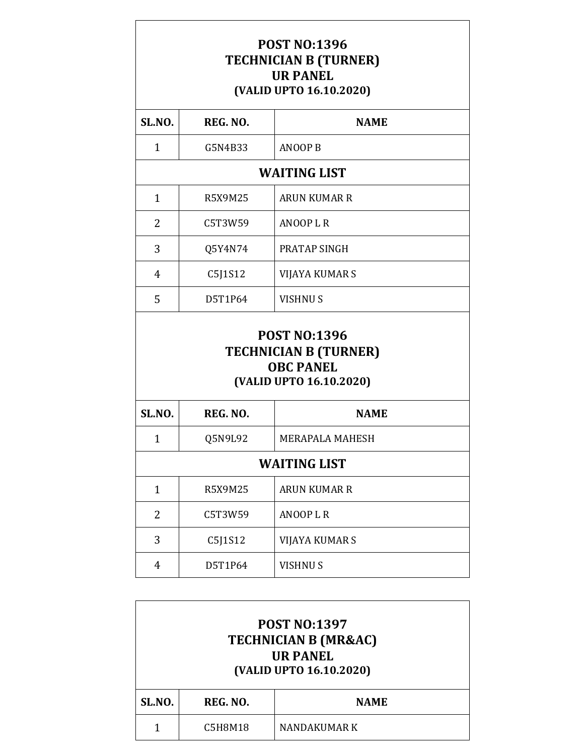### **POST NO:1396 TECHNICIAN B (TURNER) UR PANEL (VALID UPTO 16.10.2020)**

| SL.NO.              | REG. NO.       | <b>NAME</b>                                                                                        |  |
|---------------------|----------------|----------------------------------------------------------------------------------------------------|--|
| $\mathbf{1}$        | G5N4B33        | <b>ANOOP B</b>                                                                                     |  |
|                     |                | <b>WAITING LIST</b>                                                                                |  |
| $\mathbf{1}$        | <b>R5X9M25</b> | <b>ARUN KUMAR R</b>                                                                                |  |
| 2                   | C5T3W59        | <b>ANOOPLR</b>                                                                                     |  |
| 3                   | Q5Y4N74        | PRATAP SINGH                                                                                       |  |
| $\overline{4}$      | C5J1S12        | <b>VIJAYA KUMAR S</b>                                                                              |  |
| 5                   | D5T1P64        | <b>VISHNUS</b>                                                                                     |  |
|                     |                | <b>POST NO:1396</b><br><b>TECHNICIAN B (TURNER)</b><br><b>OBC PANEL</b><br>(VALID UPTO 16.10.2020) |  |
| SL.NO.              | REG. NO.       | <b>NAME</b>                                                                                        |  |
| $\mathbf{1}$        | Q5N9L92        | <b>MERAPALA MAHESH</b>                                                                             |  |
| <b>WAITING LIST</b> |                |                                                                                                    |  |
| $\mathbf{1}$        | <b>R5X9M25</b> | <b>ARUN KUMAR R</b>                                                                                |  |
| $\overline{2}$      | C5T3W59        | <b>ANOOPLR</b>                                                                                     |  |
| 3                   | C5J1S12        | VIJAYA KUMAR S                                                                                     |  |
| $\overline{4}$      | D5T1P64        | <b>VISHNUS</b>                                                                                     |  |

|        | <b>POST NO:1397</b><br><b>TECHNICIAN B (MR&amp;AC)</b><br><b>UR PANEL</b><br>(VALID UPTO 16.10.2020) |              |  |  |
|--------|------------------------------------------------------------------------------------------------------|--------------|--|--|
| SL.NO. | REG. NO.<br><b>NAME</b>                                                                              |              |  |  |
|        | C5H8M18                                                                                              | NANDAKUMAR K |  |  |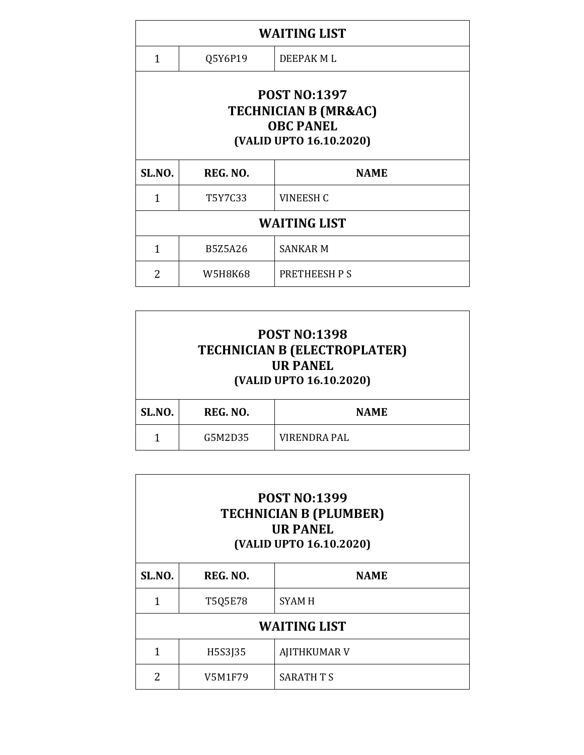| <b>WAITING LIST</b>                                                                                   |                |                     |
|-------------------------------------------------------------------------------------------------------|----------------|---------------------|
| 1                                                                                                     | Q5Y6P19        | DEEPAK ML           |
| <b>POST NO:1397</b><br><b>TECHNICIAN B (MR&amp;AC)</b><br><b>OBC PANEL</b><br>(VALID UPTO 16.10.2020) |                |                     |
| SL.NO.                                                                                                | REG. NO.       | <b>NAME</b>         |
| 1                                                                                                     | T5Y7C33        | <b>VINEESH C</b>    |
| <b>WAITING LIST</b>                                                                                   |                |                     |
| 1                                                                                                     | <b>B5Z5A26</b> | <b>SANKAR M</b>     |
| 2                                                                                                     | W5H8K68        | <b>PRETHEESH PS</b> |

|                                   | <b>POST NO:1398</b><br><b>TECHNICIAN B (ELECTROPLATER)</b><br><b>UR PANEL</b><br>(VALID UPTO 16.10.2020) |                     |  |
|-----------------------------------|----------------------------------------------------------------------------------------------------------|---------------------|--|
| SL.NO.<br>REG. NO.<br><b>NAME</b> |                                                                                                          |                     |  |
|                                   | G5M2D35                                                                                                  | <b>VIRENDRA PAL</b> |  |

| <b>POST NO:1399</b><br><b>TECHNICIAN B (PLUMBER)</b><br><b>UR PANEL</b><br>(VALID UPTO 16.10.2020) |         |                     |
|----------------------------------------------------------------------------------------------------|---------|---------------------|
| SL.NO.<br>REG. NO.<br><b>NAME</b>                                                                  |         |                     |
| 1                                                                                                  | T5Q5E78 | <b>SYAM H</b>       |
| <b>WAITING LIST</b>                                                                                |         |                     |
| 1                                                                                                  | H5S3J35 | <b>AJITHKUMAR V</b> |
| 2                                                                                                  | V5M1F79 | SARATH T S          |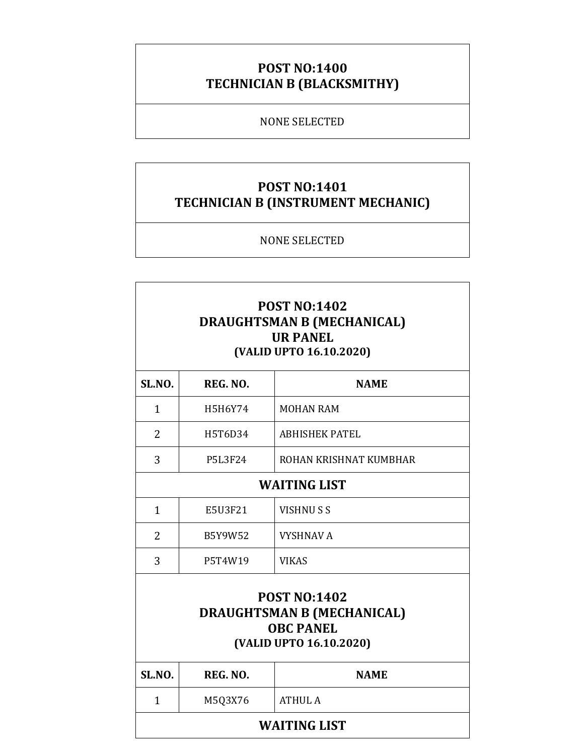## **POST NO:1400 TECHNICIAN B (BLACKSMITHY)**

#### NONE SELECTED

### **POST NO:1401 TECHNICIAN B (INSTRUMENT MECHANIC)**

NONE SELECTED

| <b>POST NO:1402</b><br><b>DRAUGHTSMAN B (MECHANICAL)</b><br><b>UR PANEL</b><br>(VALID UPTO 16.10.2020)  |                     |                        |  |
|---------------------------------------------------------------------------------------------------------|---------------------|------------------------|--|
| SL.NO.                                                                                                  | REG. NO.            | <b>NAME</b>            |  |
| $\mathbf{1}$                                                                                            | H5H6Y74             | <b>MOHAN RAM</b>       |  |
| $\overline{2}$                                                                                          | H5T6D34             | <b>ABHISHEK PATEL</b>  |  |
| 3                                                                                                       | <b>P5L3F24</b>      | ROHAN KRISHNAT KUMBHAR |  |
|                                                                                                         | <b>WAITING LIST</b> |                        |  |
| $\mathbf{1}$                                                                                            | E5U3F21             | <b>VISHNUSS</b>        |  |
| 2                                                                                                       | B5Y9W52             | <b>VYSHNAV A</b>       |  |
| 3                                                                                                       | P5T4W19             | <b>VIKAS</b>           |  |
| <b>POST NO:1402</b><br><b>DRAUGHTSMAN B (MECHANICAL)</b><br><b>OBC PANEL</b><br>(VALID UPTO 16.10.2020) |                     |                        |  |
| SL.NO.                                                                                                  | REG. NO.            | <b>NAME</b>            |  |
| $\mathbf{1}$                                                                                            | M5Q3X76             | <b>ATHUL A</b>         |  |
| <b>WAITING LIST</b>                                                                                     |                     |                        |  |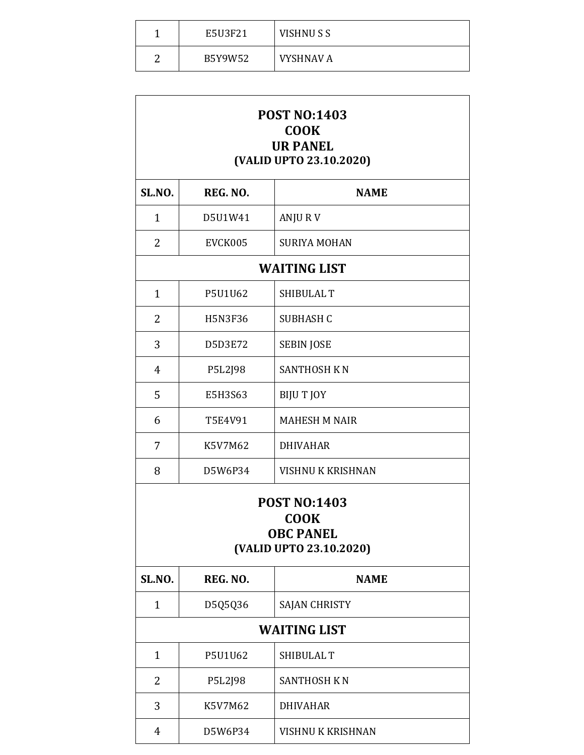|   | E5U3F21 | VISHNUSS         |
|---|---------|------------------|
| ◠ | B5Y9W52 | <b>VYSHNAV A</b> |

| <b>POST NO:1403</b><br><b>COOK</b><br><b>UR PANEL</b><br>(VALID UPTO 23.10.2020)  |                |                          |  |
|-----------------------------------------------------------------------------------|----------------|--------------------------|--|
| SL.NO.                                                                            | REG. NO.       | <b>NAME</b>              |  |
| $\mathbf{1}$                                                                      | D5U1W41        | ANJURV                   |  |
| 2                                                                                 | EVCK005        | <b>SURIYA MOHAN</b>      |  |
|                                                                                   |                | <b>WAITING LIST</b>      |  |
| $\mathbf{1}$                                                                      | P5U1U62        | SHIBULAL T               |  |
| 2                                                                                 | <b>H5N3F36</b> | SUBHASH C                |  |
| 3                                                                                 | D5D3E72        | <b>SEBIN JOSE</b>        |  |
| 4                                                                                 | P5L2J98        | <b>SANTHOSH KN</b>       |  |
| 5                                                                                 | E5H3S63        | <b>BIJUT JOY</b>         |  |
| 6                                                                                 | T5E4V91        | <b>MAHESH M NAIR</b>     |  |
| 7                                                                                 | K5V7M62        | <b>DHIVAHAR</b>          |  |
| 8                                                                                 | D5W6P34        | <b>VISHNU K KRISHNAN</b> |  |
| <b>POST NO:1403</b><br><b>COOK</b><br><b>OBC PANEL</b><br>(VALID UPTO 23.10.2020) |                |                          |  |
| SL.NO.                                                                            | REG. NO.       | <b>NAME</b>              |  |
| $\mathbf{1}$                                                                      | D5Q5Q36        | <b>SAJAN CHRISTY</b>     |  |
| <b>WAITING LIST</b>                                                               |                |                          |  |
| $\mathbf{1}$                                                                      | P5U1U62        | SHIBULAL T               |  |
| 2                                                                                 | P5L2J98        | <b>SANTHOSH KN</b>       |  |
| 3                                                                                 | K5V7M62        | <b>DHIVAHAR</b>          |  |
| 4                                                                                 | D5W6P34        | <b>VISHNU K KRISHNAN</b> |  |